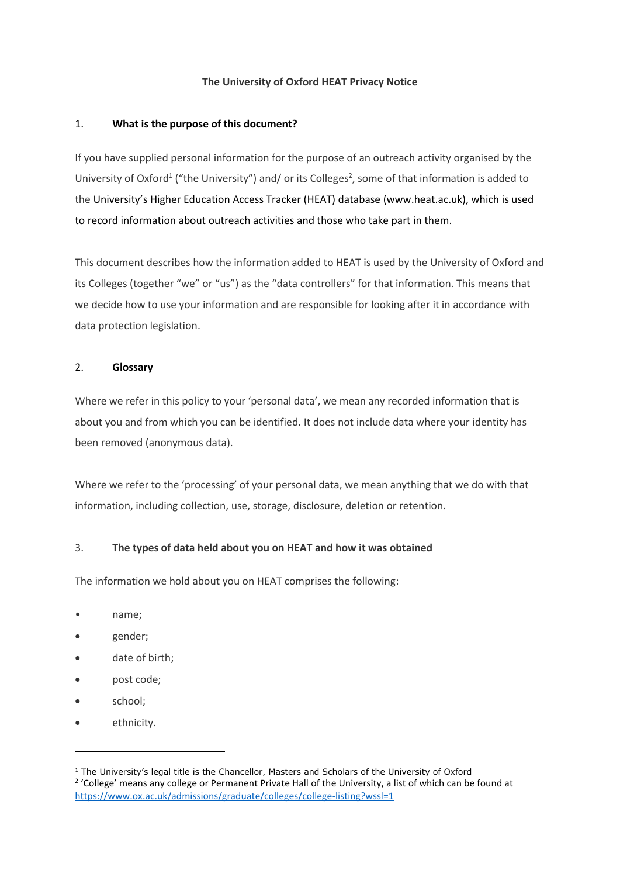### **The University of Oxford HEAT Privacy Notice**

### 1. **What is the purpose of this document?**

If you have supplied personal information for the purpose of an outreach activity organised by the University of Oxford<sup>1</sup> ("the University") and/ or its Colleges<sup>2</sup>, some of that information is added to the University's Higher Education Access Tracker (HEAT) database (www.heat.ac.uk), which is used to record information about outreach activities and those who take part in them.

This document describes how the information added to HEAT is used by the University of Oxford and its Colleges (together "we" or "us") as the "data controllers" for that information. This means that we decide how to use your information and are responsible for looking after it in accordance with data protection legislation.

## 2. **Glossary**

Where we refer in this policy to your 'personal data', we mean any recorded information that is about you and from which you can be identified. It does not include data where your identity has been removed (anonymous data).

Where we refer to the 'processing' of your personal data, we mean anything that we do with that information, including collection, use, storage, disclosure, deletion or retention.

# 3. **The types of data held about you on HEAT and how it was obtained**

The information we hold about you on HEAT comprises the following:

- name;
- gender;
- date of birth;
- post code;
- school;

1

ethnicity.

<sup>&</sup>lt;sup>1</sup> The University's legal title is the Chancellor, Masters and Scholars of the University of Oxford <sup>2</sup> 'College' means any college or Permanent Private Hall of the University, a list of which can be found at <https://www.ox.ac.uk/admissions/graduate/colleges/college-listing?wssl=1>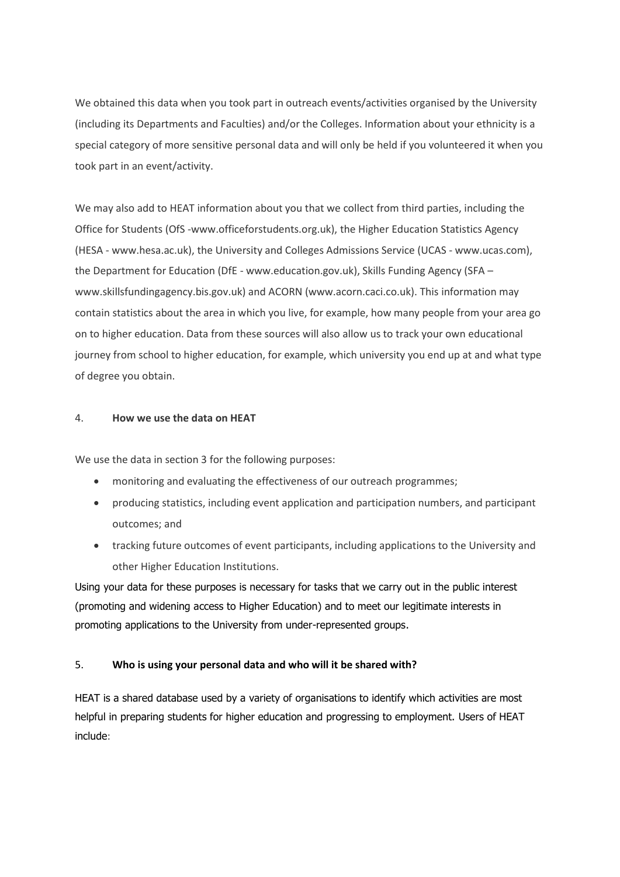We obtained this data when you took part in outreach events/activities organised by the University (including its Departments and Faculties) and/or the Colleges. Information about your ethnicity is a special category of more sensitive personal data and will only be held if you volunteered it when you took part in an event/activity.

We may also add to HEAT information about you that we collect from third parties, including the Office for Students (OfS -www.officeforstudents.org.uk), the Higher Education Statistics Agency (HESA - www.hesa.ac.uk), the University and Colleges Admissions Service (UCAS - www.ucas.com), the Department for Education (DfE - www.education.gov.uk), Skills Funding Agency (SFA – www.skillsfundingagency.bis.gov.uk) and ACORN (www.acorn.caci.co.uk). This information may contain statistics about the area in which you live, for example, how many people from your area go on to higher education. Data from these sources will also allow us to track your own educational journey from school to higher education, for example, which university you end up at and what type of degree you obtain.

### 4. **How we use the data on HEAT**

We use the data in section 3 for the following purposes:

- monitoring and evaluating the effectiveness of our outreach programmes;
- producing statistics, including event application and participation numbers, and participant outcomes; and
- tracking future outcomes of event participants, including applications to the University and other Higher Education Institutions.

Using your data for these purposes is necessary for tasks that we carry out in the public interest (promoting and widening access to Higher Education) and to meet our legitimate interests in promoting applications to the University from under-represented groups.

# 5. **Who is using your personal data and who will it be shared with?**

HEAT is a shared database used by a variety of organisations to identify which activities are most helpful in preparing students for higher education and progressing to employment. Users of HEAT include: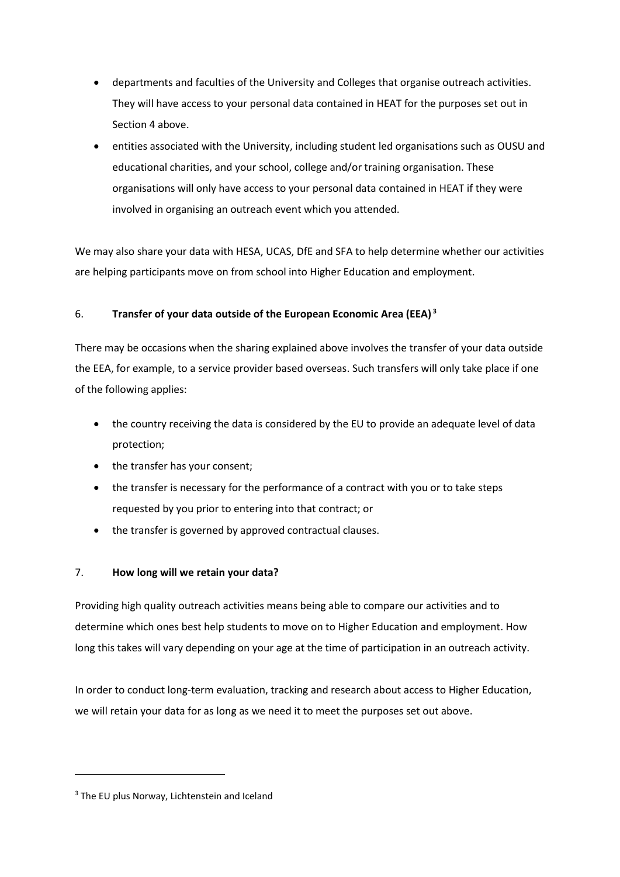- departments and faculties of the University and Colleges that organise outreach activities. They will have access to your personal data contained in HEAT for the purposes set out in Section 4 above.
- entities associated with the University, including student led organisations such as OUSU and educational charities, and your school, college and/or training organisation. These organisations will only have access to your personal data contained in HEAT if they were involved in organising an outreach event which you attended.

We may also share your data with HESA, UCAS, DfE and SFA to help determine whether our activities are helping participants move on from school into Higher Education and employment.

# 6. **Transfer of your data outside of the European Economic Area (EEA) <sup>3</sup>**

There may be occasions when the sharing explained above involves the transfer of your data outside the EEA, for example, to a service provider based overseas. Such transfers will only take place if one of the following applies:

- the country receiving the data is considered by the EU to provide an adequate level of data protection;
- the transfer has your consent;
- the transfer is necessary for the performance of a contract with you or to take steps requested by you prior to entering into that contract; or
- the transfer is governed by approved contractual clauses.

# 7. **How long will we retain your data?**

Providing high quality outreach activities means being able to compare our activities and to determine which ones best help students to move on to Higher Education and employment. How long this takes will vary depending on your age at the time of participation in an outreach activity.

In order to conduct long-term evaluation, tracking and research about access to Higher Education, we will retain your data for as long as we need it to meet the purposes set out above.

**.** 

<sup>&</sup>lt;sup>3</sup> The EU plus Norway, Lichtenstein and Iceland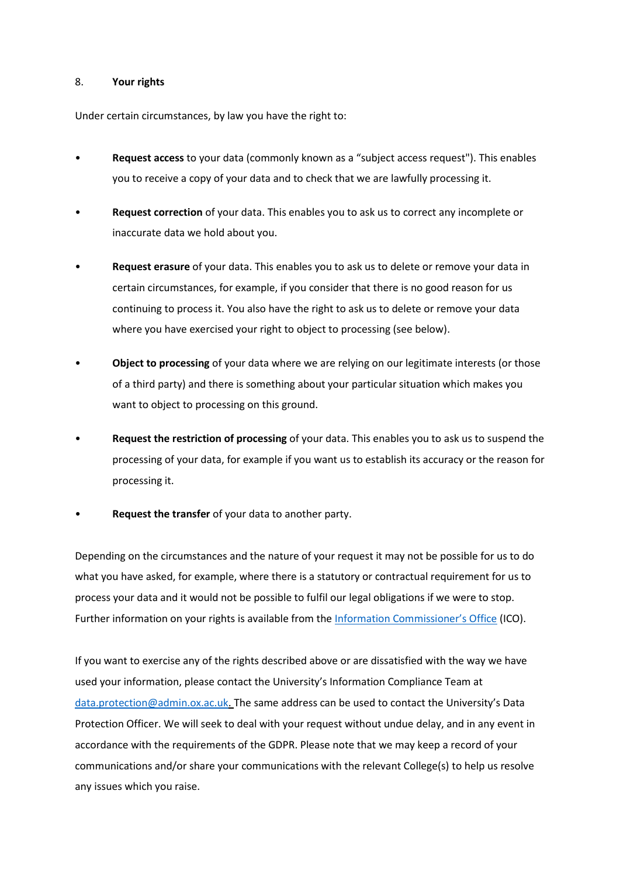#### 8. **Your rights**

Under certain circumstances, by law you have the right to:

- **Request access** to your data (commonly known as a "subject access request"). This enables you to receive a copy of your data and to check that we are lawfully processing it.
- **Request correction** of your data. This enables you to ask us to correct any incomplete or inaccurate data we hold about you.
- **Request erasure** of your data. This enables you to ask us to delete or remove your data in certain circumstances, for example, if you consider that there is no good reason for us continuing to process it. You also have the right to ask us to delete or remove your data where you have exercised your right to object to processing (see below).
- **Object to processing** of your data where we are relying on our legitimate interests (or those of a third party) and there is something about your particular situation which makes you want to object to processing on this ground.
- **Request the restriction of processing** of your data. This enables you to ask us to suspend the processing of your data, for example if you want us to establish its accuracy or the reason for processing it.
- **Request the transfer** of your data to another party.

Depending on the circumstances and the nature of your request it may not be possible for us to do what you have asked, for example, where there is a statutory or contractual requirement for us to process your data and it would not be possible to fulfil our legal obligations if we were to stop. Further information on your rights is available from the [Information Commissioner's Office](https://ico.org.uk/) (ICO).

If you want to exercise any of the rights described above or are dissatisfied with the way we have used your information, please contact the University's Information Compliance Team at [data.protection@admin.ox.ac.uk.](mailto:data.protection@admin.ox.ac.uk) The same address can be used to contact the University's Data Protection Officer. We will seek to deal with your request without undue delay, and in any event in accordance with the requirements of the GDPR. Please note that we may keep a record of your communications and/or share your communications with the relevant College(s) to help us resolve any issues which you raise.